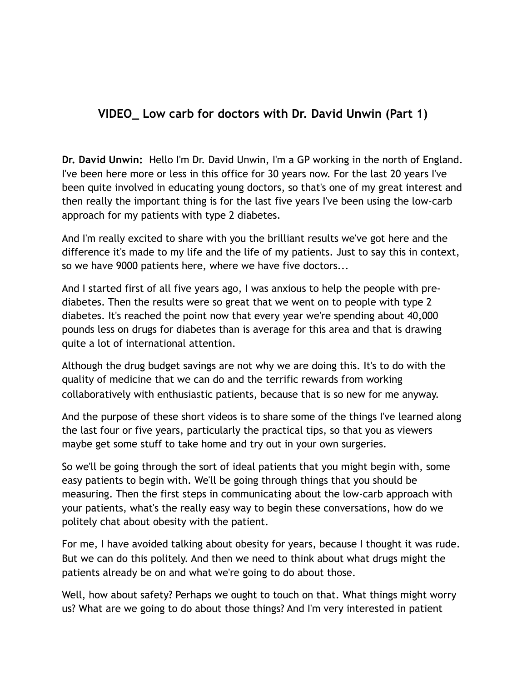## **VIDEO\_ Low carb for doctors with Dr. David Unwin (Part 1)**

**Dr. David Unwin:** Hello I'm Dr. David Unwin, I'm a GP working in the north of England. I've been here more or less in this office for 30 years now. For the last 20 years I've been quite involved in educating young doctors, so that's one of my great interest and then really the important thing is for the last five years I've been using the low-carb approach for my patients with type 2 diabetes.

And I'm really excited to share with you the brilliant results we've got here and the difference it's made to my life and the life of my patients. Just to say this in context, so we have 9000 patients here, where we have five doctors...

And I started first of all five years ago, I was anxious to help the people with prediabetes. Then the results were so great that we went on to people with type 2 diabetes. It's reached the point now that every year we're spending about 40,000 pounds less on drugs for diabetes than is average for this area and that is drawing quite a lot of international attention.

Although the drug budget savings are not why we are doing this. It's to do with the quality of medicine that we can do and the terrific rewards from working collaboratively with enthusiastic patients, because that is so new for me anyway.

And the purpose of these short videos is to share some of the things I've learned along the last four or five years, particularly the practical tips, so that you as viewers maybe get some stuff to take home and try out in your own surgeries.

So we'll be going through the sort of ideal patients that you might begin with, some easy patients to begin with. We'll be going through things that you should be measuring. Then the first steps in communicating about the low-carb approach with your patients, what's the really easy way to begin these conversations, how do we politely chat about obesity with the patient.

For me, I have avoided talking about obesity for years, because I thought it was rude. But we can do this politely. And then we need to think about what drugs might the patients already be on and what we're going to do about those.

Well, how about safety? Perhaps we ought to touch on that. What things might worry us? What are we going to do about those things? And I'm very interested in patient